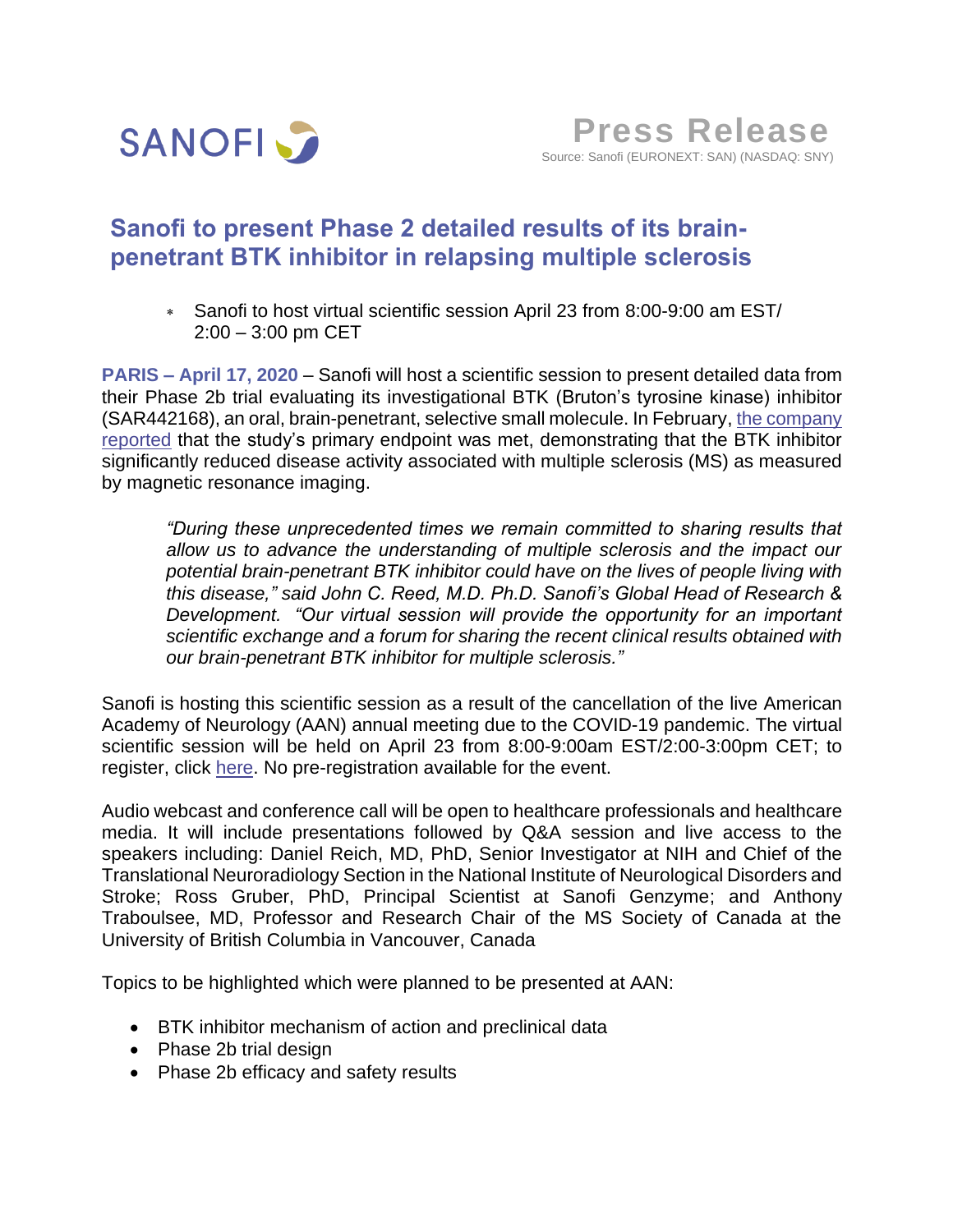

## **Sanofi to present Phase 2 detailed results of its brainpenetrant BTK inhibitor in relapsing multiple sclerosis**

 Sanofi to host virtual scientific session April 23 from 8:00-9:00 am EST/ 2:00 – 3:00 pm CET

**PARIS – April 17, 2020** – Sanofi will host a scientific session to present detailed data from their Phase 2b trial evaluating its investigational BTK (Bruton's tyrosine kinase) inhibitor (SAR442168), an oral, brain-penetrant, selective small molecule. In February, [the company](https://www.sanofi.com/en/media-room/press-releases/2020/2020-02-06-07-00-00)  [reported](https://www.sanofi.com/en/media-room/press-releases/2020/2020-02-06-07-00-00) that the study's primary endpoint was met, demonstrating that the BTK inhibitor significantly reduced disease activity associated with multiple sclerosis (MS) as measured by magnetic resonance imaging.

*"During these unprecedented times we remain committed to sharing results that allow us to advance the understanding of multiple sclerosis and the impact our potential brain-penetrant BTK inhibitor could have on the lives of people living with this disease," said John C. Reed, M.D. Ph.D. Sanofi's Global Head of Research & Development. "Our virtual session will provide the opportunity for an important scientific exchange and a forum for sharing the recent clinical results obtained with our brain-penetrant BTK inhibitor for multiple sclerosis."* 

Sanofi is hosting this scientific session as a result of the cancellation of the live American Academy of Neurology (AAN) annual meeting due to the COVID-19 pandemic. The virtual scientific session will be held on April 23 from 8:00-9:00am EST/2:00-3:00pm CET; to register, click [here.](https://78449.choruscall.com/dataconf/productusers/sanofiusa/mediaframe/37349/indexl.html) No pre-registration available for the event.

Audio webcast and conference call will be open to healthcare professionals and healthcare media. It will include presentations followed by Q&A session and live access to the speakers including: Daniel Reich, MD, PhD, Senior Investigator at NIH and Chief of the Translational Neuroradiology Section in the National Institute of Neurological Disorders and Stroke; Ross Gruber, PhD, Principal Scientist at Sanofi Genzyme; and Anthony Traboulsee, MD, Professor and Research Chair of the MS Society of Canada at the University of British Columbia in Vancouver, Canada

Topics to be highlighted which were planned to be presented at AAN:

- BTK inhibitor mechanism of action and preclinical data
- Phase 2b trial design
- Phase 2b efficacy and safety results